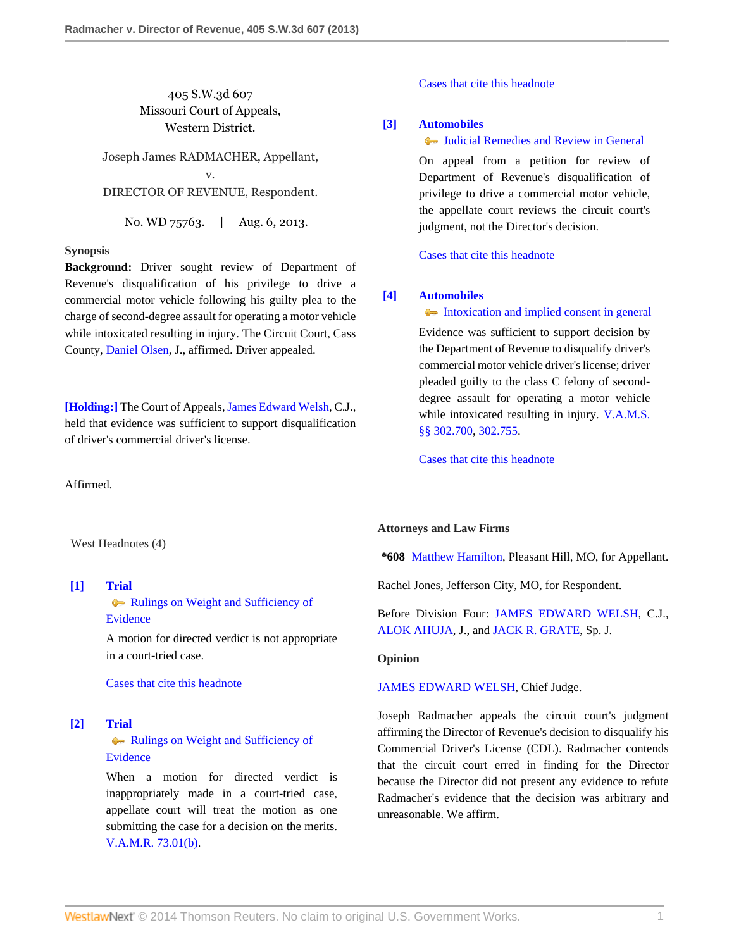# 405 S.W.3d 607 Missouri Court of Appeals, Western District.

Joseph James RADMACHER, Appellant, v. DIRECTOR OF REVENUE, Respondent.

No. WD 75763. | Aug. 6, 2013.

## **Synopsis**

**Background:** Driver sought review of Department of Revenue's disqualification of his privilege to drive a commercial motor vehicle following his guilty plea to the charge of second-degree assault for operating a motor vehicle while intoxicated resulting in injury. The Circuit Court, Cass County, [Daniel Olsen,](http://www.westlaw.com/Link/Document/FullText?findType=h&pubNum=176284&cite=0105237801&originatingDoc=I9b60fe2afeef11e2a160cacff148223f&refType=RQ&originationContext=document&vr=3.0&rs=cblt1.0&transitionType=DocumentItem&contextData=(sc.Search)) J., affirmed. Driver appealed.

**[\[Holding:\]](#page-0-0)** The Court of Appeals, [James Edward Welsh,](http://www.westlaw.com/Link/Document/FullText?findType=h&pubNum=176284&cite=0162161301&originatingDoc=I9b60fe2afeef11e2a160cacff148223f&refType=RQ&originationContext=document&vr=3.0&rs=cblt1.0&transitionType=DocumentItem&contextData=(sc.Search)) C.J., held that evidence was sufficient to support disqualification of driver's commercial driver's license.

Affirmed.

West Headnotes (4)

<span id="page-0-1"></span>**[\[1\]](#page-1-0) [Trial](http://www.westlaw.com/Browse/Home/KeyNumber/388/View.html?docGuid=I9b60fe2afeef11e2a160cacff148223f&originationContext=document&vr=3.0&rs=cblt1.0&transitionType=DocumentItem&contextData=(sc.Search))**

[Rulings on Weight and Sufficiency of](http://www.westlaw.com/Browse/Home/KeyNumber/388k381/View.html?docGuid=I9b60fe2afeef11e2a160cacff148223f&originationContext=document&vr=3.0&rs=cblt1.0&transitionType=DocumentItem&contextData=(sc.Search)) [Evidence](http://www.westlaw.com/Browse/Home/KeyNumber/388k381/View.html?docGuid=I9b60fe2afeef11e2a160cacff148223f&originationContext=document&vr=3.0&rs=cblt1.0&transitionType=DocumentItem&contextData=(sc.Search))

A motion for directed verdict is not appropriate in a court-tried case.

[Cases that cite this headnote](http://www.westlaw.com/Link/RelatedInformation/DocHeadnoteLink?docGuid=I9b60fe2afeef11e2a160cacff148223f&headnoteId=203123392200120131103085201&originationContext=document&vr=3.0&rs=cblt1.0&transitionType=CitingReferences&contextData=(sc.Search))

## <span id="page-0-2"></span>**[\[2\]](#page-1-1) [Trial](http://www.westlaw.com/Browse/Home/KeyNumber/388/View.html?docGuid=I9b60fe2afeef11e2a160cacff148223f&originationContext=document&vr=3.0&rs=cblt1.0&transitionType=DocumentItem&contextData=(sc.Search))**

# **[Rulings on Weight and Sufficiency of](http://www.westlaw.com/Browse/Home/KeyNumber/388k381/View.html?docGuid=I9b60fe2afeef11e2a160cacff148223f&originationContext=document&vr=3.0&rs=cblt1.0&transitionType=DocumentItem&contextData=(sc.Search))** [Evidence](http://www.westlaw.com/Browse/Home/KeyNumber/388k381/View.html?docGuid=I9b60fe2afeef11e2a160cacff148223f&originationContext=document&vr=3.0&rs=cblt1.0&transitionType=DocumentItem&contextData=(sc.Search))

When a motion for directed verdict is inappropriately made in a court-tried case, appellate court will treat the motion as one submitting the case for a decision on the merits. [V.A.M.R. 73.01\(b\)](http://www.westlaw.com/Link/Document/FullText?findType=L&pubNum=1005849&cite=MORRCPR73.01&originatingDoc=I9b60fe2afeef11e2a160cacff148223f&refType=LQ&originationContext=document&vr=3.0&rs=cblt1.0&transitionType=DocumentItem&contextData=(sc.Search)).

[Cases that cite this headnote](http://www.westlaw.com/Link/RelatedInformation/DocHeadnoteLink?docGuid=I9b60fe2afeef11e2a160cacff148223f&headnoteId=203123392200220131103085201&originationContext=document&vr=3.0&rs=cblt1.0&transitionType=CitingReferences&contextData=(sc.Search))

## <span id="page-0-3"></span>**[\[3\]](#page-1-2) [Automobiles](http://www.westlaw.com/Browse/Home/KeyNumber/48A/View.html?docGuid=I9b60fe2afeef11e2a160cacff148223f&originationContext=document&vr=3.0&rs=cblt1.0&transitionType=DocumentItem&contextData=(sc.Search))**

## [Judicial Remedies and Review in General](http://www.westlaw.com/Browse/Home/KeyNumber/48Ak144.2(2)/View.html?docGuid=I9b60fe2afeef11e2a160cacff148223f&originationContext=document&vr=3.0&rs=cblt1.0&transitionType=DocumentItem&contextData=(sc.Search))

On appeal from a petition for review of Department of Revenue's disqualification of privilege to drive a commercial motor vehicle, the appellate court reviews the circuit court's judgment, not the Director's decision.

[Cases that cite this headnote](http://www.westlaw.com/Link/RelatedInformation/DocHeadnoteLink?docGuid=I9b60fe2afeef11e2a160cacff148223f&headnoteId=203123392200320131103085201&originationContext=document&vr=3.0&rs=cblt1.0&transitionType=CitingReferences&contextData=(sc.Search))

## <span id="page-0-0"></span>**[\[4\]](#page-1-3) [Automobiles](http://www.westlaw.com/Browse/Home/KeyNumber/48A/View.html?docGuid=I9b60fe2afeef11e2a160cacff148223f&originationContext=document&vr=3.0&rs=cblt1.0&transitionType=DocumentItem&contextData=(sc.Search))**

#### [Intoxication and implied consent in general](http://www.westlaw.com/Browse/Home/KeyNumber/48Ak144.2(10.2)/View.html?docGuid=I9b60fe2afeef11e2a160cacff148223f&originationContext=document&vr=3.0&rs=cblt1.0&transitionType=DocumentItem&contextData=(sc.Search))

Evidence was sufficient to support decision by the Department of Revenue to disqualify driver's commercial motor vehicle driver's license; driver pleaded guilty to the class C felony of seconddegree assault for operating a motor vehicle while intoxicated resulting in injury. [V.A.M.S.](http://www.westlaw.com/Link/Document/FullText?findType=L&pubNum=1000229&cite=MOST302.700&originatingDoc=I9b60fe2afeef11e2a160cacff148223f&refType=LQ&originationContext=document&vr=3.0&rs=cblt1.0&transitionType=DocumentItem&contextData=(sc.Search)) [§§ 302.700](http://www.westlaw.com/Link/Document/FullText?findType=L&pubNum=1000229&cite=MOST302.700&originatingDoc=I9b60fe2afeef11e2a160cacff148223f&refType=LQ&originationContext=document&vr=3.0&rs=cblt1.0&transitionType=DocumentItem&contextData=(sc.Search)), [302.755](http://www.westlaw.com/Link/Document/FullText?findType=L&pubNum=1000229&cite=MOST302.755&originatingDoc=I9b60fe2afeef11e2a160cacff148223f&refType=LQ&originationContext=document&vr=3.0&rs=cblt1.0&transitionType=DocumentItem&contextData=(sc.Search)).

[Cases that cite this headnote](http://www.westlaw.com/Link/RelatedInformation/DocHeadnoteLink?docGuid=I9b60fe2afeef11e2a160cacff148223f&headnoteId=203123392200420131103085201&originationContext=document&vr=3.0&rs=cblt1.0&transitionType=CitingReferences&contextData=(sc.Search))

### **Attorneys and Law Firms**

**\*608** [Matthew Hamilton](http://www.westlaw.com/Link/Document/FullText?findType=h&pubNum=176284&cite=0457859801&originatingDoc=I9b60fe2afeef11e2a160cacff148223f&refType=RQ&originationContext=document&vr=3.0&rs=cblt1.0&transitionType=DocumentItem&contextData=(sc.Search)), Pleasant Hill, MO, for Appellant.

Rachel Jones, Jefferson City, MO, for Respondent.

Before Division Four: [JAMES EDWARD WELSH,](http://www.westlaw.com/Link/Document/FullText?findType=h&pubNum=176284&cite=0162161301&originatingDoc=I9b60fe2afeef11e2a160cacff148223f&refType=RQ&originationContext=document&vr=3.0&rs=cblt1.0&transitionType=DocumentItem&contextData=(sc.Search)) C.J., [ALOK AHUJA](http://www.westlaw.com/Link/Document/FullText?findType=h&pubNum=176284&cite=0164642601&originatingDoc=I9b60fe2afeef11e2a160cacff148223f&refType=RQ&originationContext=document&vr=3.0&rs=cblt1.0&transitionType=DocumentItem&contextData=(sc.Search)), J., and [JACK R. GRATE,](http://www.westlaw.com/Link/Document/FullText?findType=h&pubNum=176284&cite=0354734901&originatingDoc=I9b60fe2afeef11e2a160cacff148223f&refType=RQ&originationContext=document&vr=3.0&rs=cblt1.0&transitionType=DocumentItem&contextData=(sc.Search)) Sp. J.

## **Opinion**

### [JAMES EDWARD WELSH,](http://www.westlaw.com/Link/Document/FullText?findType=h&pubNum=176284&cite=0162161301&originatingDoc=I9b60fe2afeef11e2a160cacff148223f&refType=RQ&originationContext=document&vr=3.0&rs=cblt1.0&transitionType=DocumentItem&contextData=(sc.Search)) Chief Judge.

Joseph Radmacher appeals the circuit court's judgment affirming the Director of Revenue's decision to disqualify his Commercial Driver's License (CDL). Radmacher contends that the circuit court erred in finding for the Director because the Director did not present any evidence to refute Radmacher's evidence that the decision was arbitrary and unreasonable. We affirm.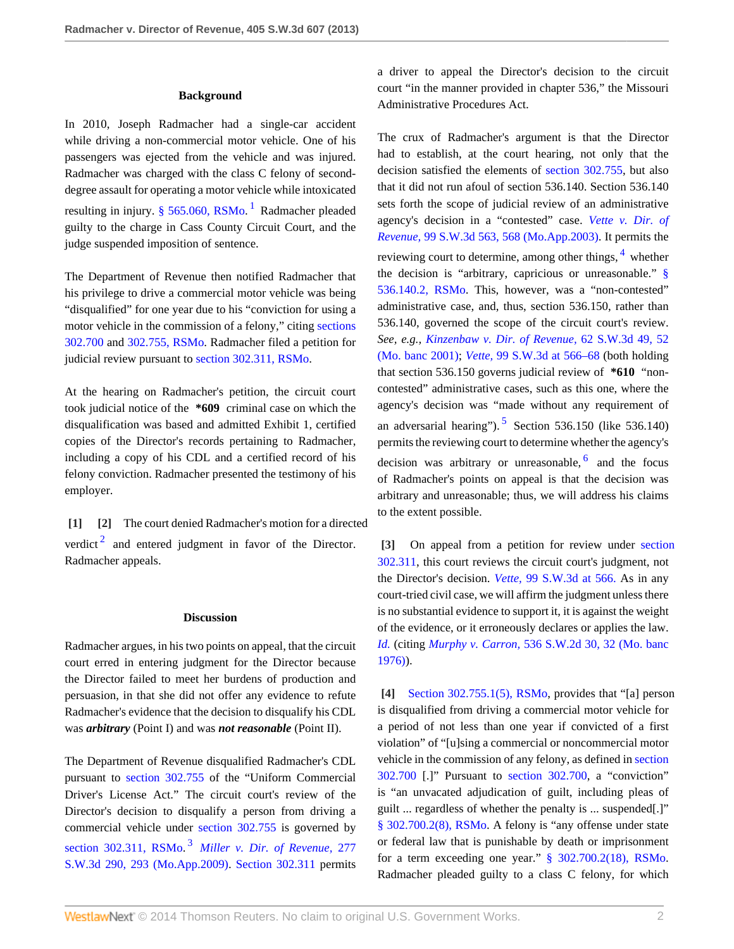### <span id="page-1-4"></span>**Background**

In 2010, Joseph Radmacher had a single-car accident while driving a non-commercial motor vehicle. One of his passengers was ejected from the vehicle and was injured. Radmacher was charged with the class C felony of seconddegree assault for operating a motor vehicle while intoxicated resulting in injury. [§ 565.060, RSMo](http://www.westlaw.com/Link/Document/FullText?findType=L&pubNum=1000229&cite=MOST565.060&originatingDoc=I9b60fe2afeef11e2a160cacff148223f&refType=LQ&originationContext=document&vr=3.0&rs=cblt1.0&transitionType=DocumentItem&contextData=(sc.Search)).<sup>[1](#page-3-0)</sup> Radmacher pleaded guilty to the charge in Cass County Circuit Court, and the judge suspended imposition of sentence.

The Department of Revenue then notified Radmacher that his privilege to drive a commercial motor vehicle was being "disqualified" for one year due to his "conviction for using a motor vehicle in the commission of a felony," citing [sections](http://www.westlaw.com/Link/Document/FullText?findType=L&pubNum=1000229&cite=MOST302.700&originatingDoc=I9b60fe2afeef11e2a160cacff148223f&refType=LQ&originationContext=document&vr=3.0&rs=cblt1.0&transitionType=DocumentItem&contextData=(sc.Search)) [302.700](http://www.westlaw.com/Link/Document/FullText?findType=L&pubNum=1000229&cite=MOST302.700&originatingDoc=I9b60fe2afeef11e2a160cacff148223f&refType=LQ&originationContext=document&vr=3.0&rs=cblt1.0&transitionType=DocumentItem&contextData=(sc.Search)) and [302.755, RSMo](http://www.westlaw.com/Link/Document/FullText?findType=L&pubNum=1000229&cite=MOST302.755&originatingDoc=I9b60fe2afeef11e2a160cacff148223f&refType=LQ&originationContext=document&vr=3.0&rs=cblt1.0&transitionType=DocumentItem&contextData=(sc.Search)). Radmacher filed a petition for judicial review pursuant to [section 302.311, RSMo.](http://www.westlaw.com/Link/Document/FullText?findType=L&pubNum=1000229&cite=MOST302.311&originatingDoc=I9b60fe2afeef11e2a160cacff148223f&refType=LQ&originationContext=document&vr=3.0&rs=cblt1.0&transitionType=DocumentItem&contextData=(sc.Search))

At the hearing on Radmacher's petition, the circuit court took judicial notice of the **\*609** criminal case on which the disqualification was based and admitted Exhibit 1, certified copies of the Director's records pertaining to Radmacher, including a copy of his CDL and a certified record of his felony conviction. Radmacher presented the testimony of his employer.

<span id="page-1-5"></span><span id="page-1-1"></span><span id="page-1-0"></span>**[\[1\]](#page-0-1) [\[2\]](#page-0-2)** The court denied Radmacher's motion for a directed verdict<sup>[2](#page-3-1)</sup> and entered judgment in favor of the Director. Radmacher appeals.

#### **Discussion**

Radmacher argues, in his two points on appeal, that the circuit court erred in entering judgment for the Director because the Director failed to meet her burdens of production and persuasion, in that she did not offer any evidence to refute Radmacher's evidence that the decision to disqualify his CDL was *arbitrary* (Point I) and was *not reasonable* (Point II).

<span id="page-1-6"></span>The Department of Revenue disqualified Radmacher's CDL pursuant to [section 302.755](http://www.westlaw.com/Link/Document/FullText?findType=L&pubNum=1000229&cite=MOST302.755&originatingDoc=I9b60fe2afeef11e2a160cacff148223f&refType=LQ&originationContext=document&vr=3.0&rs=cblt1.0&transitionType=DocumentItem&contextData=(sc.Search)) of the "Uniform Commercial Driver's License Act." The circuit court's review of the Director's decision to disqualify a person from driving a commercial vehicle under [section 302.755](http://www.westlaw.com/Link/Document/FullText?findType=L&pubNum=1000229&cite=MOST302.755&originatingDoc=I9b60fe2afeef11e2a160cacff148223f&refType=LQ&originationContext=document&vr=3.0&rs=cblt1.0&transitionType=DocumentItem&contextData=(sc.Search)) is governed by [section 302.311, RSMo](http://www.westlaw.com/Link/Document/FullText?findType=L&pubNum=1000229&cite=MOST302.311&originatingDoc=I9b60fe2afeef11e2a160cacff148223f&refType=LQ&originationContext=document&vr=3.0&rs=cblt1.0&transitionType=DocumentItem&contextData=(sc.Search)). [3](#page-3-2) *[Miller v. Dir. of Revenue,](http://www.westlaw.com/Link/Document/FullText?findType=Y&serNum=2017906270&pubNum=4644&fi=co_pp_sp_4644_293&originationContext=document&vr=3.0&rs=cblt1.0&transitionType=DocumentItem&contextData=(sc.Search)#co_pp_sp_4644_293)* 277 [S.W.3d 290, 293 \(Mo.App.2009\).](http://www.westlaw.com/Link/Document/FullText?findType=Y&serNum=2017906270&pubNum=4644&fi=co_pp_sp_4644_293&originationContext=document&vr=3.0&rs=cblt1.0&transitionType=DocumentItem&contextData=(sc.Search)#co_pp_sp_4644_293) [Section 302.311](http://www.westlaw.com/Link/Document/FullText?findType=L&pubNum=1000229&cite=MOST302.311&originatingDoc=I9b60fe2afeef11e2a160cacff148223f&refType=LQ&originationContext=document&vr=3.0&rs=cblt1.0&transitionType=DocumentItem&contextData=(sc.Search)) permits a driver to appeal the Director's decision to the circuit court "in the manner provided in chapter 536," the Missouri Administrative Procedures Act.

<span id="page-1-7"></span>The crux of Radmacher's argument is that the Director had to establish, at the court hearing, not only that the decision satisfied the elements of [section 302.755,](http://www.westlaw.com/Link/Document/FullText?findType=L&pubNum=1000229&cite=MOST302.755&originatingDoc=I9b60fe2afeef11e2a160cacff148223f&refType=LQ&originationContext=document&vr=3.0&rs=cblt1.0&transitionType=DocumentItem&contextData=(sc.Search)) but also that it did not run afoul of section 536.140. Section 536.140 sets forth the scope of judicial review of an administrative agency's decision in a "contested" case. *[Vette v. Dir. of](http://www.westlaw.com/Link/Document/FullText?findType=Y&serNum=2003236123&pubNum=4644&fi=co_pp_sp_4644_568&originationContext=document&vr=3.0&rs=cblt1.0&transitionType=DocumentItem&contextData=(sc.Search)#co_pp_sp_4644_568) Revenue,* [99 S.W.3d 563, 568 \(Mo.App.2003\)](http://www.westlaw.com/Link/Document/FullText?findType=Y&serNum=2003236123&pubNum=4644&fi=co_pp_sp_4644_568&originationContext=document&vr=3.0&rs=cblt1.0&transitionType=DocumentItem&contextData=(sc.Search)#co_pp_sp_4644_568). It permits the reviewing court to determine, among other things, <sup>[4](#page-3-3)</sup> whether the decision is "arbitrary, capricious or unreasonable." [§](http://www.westlaw.com/Link/Document/FullText?findType=L&pubNum=1000229&cite=MOST536.140&originatingDoc=I9b60fe2afeef11e2a160cacff148223f&refType=LQ&originationContext=document&vr=3.0&rs=cblt1.0&transitionType=DocumentItem&contextData=(sc.Search)) [536.140.2, RSMo.](http://www.westlaw.com/Link/Document/FullText?findType=L&pubNum=1000229&cite=MOST536.140&originatingDoc=I9b60fe2afeef11e2a160cacff148223f&refType=LQ&originationContext=document&vr=3.0&rs=cblt1.0&transitionType=DocumentItem&contextData=(sc.Search)) This, however, was a "non-contested" administrative case, and, thus, section 536.150, rather than 536.140, governed the scope of the circuit court's review. *See, e.g., [Kinzenbaw v. Dir. of Revenue,](http://www.westlaw.com/Link/Document/FullText?findType=Y&serNum=2001558339&pubNum=4644&fi=co_pp_sp_4644_52&originationContext=document&vr=3.0&rs=cblt1.0&transitionType=DocumentItem&contextData=(sc.Search)#co_pp_sp_4644_52)* 62 S.W.3d 49, 52 [\(Mo. banc 2001\);](http://www.westlaw.com/Link/Document/FullText?findType=Y&serNum=2001558339&pubNum=4644&fi=co_pp_sp_4644_52&originationContext=document&vr=3.0&rs=cblt1.0&transitionType=DocumentItem&contextData=(sc.Search)#co_pp_sp_4644_52) *Vette,* [99 S.W.3d at 566–68](http://www.westlaw.com/Link/Document/FullText?findType=Y&serNum=2003236123&pubNum=4644&fi=co_pp_sp_4644_566&originationContext=document&vr=3.0&rs=cblt1.0&transitionType=DocumentItem&contextData=(sc.Search)#co_pp_sp_4644_566) (both holding that section 536.150 governs judicial review of **\*610** "noncontested" administrative cases, such as this one, where the agency's decision was "made without any requirement of an adversarial hearing").  $5$  Section 536.150 (like 536.140) permits the reviewing court to determine whether the agency's decision was arbitrary or unreasonable, <sup>[6](#page-3-5)</sup> and the focus of Radmacher's points on appeal is that the decision was arbitrary and unreasonable; thus, we will address his claims to the extent possible.

<span id="page-1-9"></span><span id="page-1-8"></span><span id="page-1-2"></span>**[\[3\]](#page-0-3)** On appeal from a petition for review under [section](http://www.westlaw.com/Link/Document/FullText?findType=L&pubNum=1000229&cite=MOST302.311&originatingDoc=I9b60fe2afeef11e2a160cacff148223f&refType=LQ&originationContext=document&vr=3.0&rs=cblt1.0&transitionType=DocumentItem&contextData=(sc.Search)) [302.311,](http://www.westlaw.com/Link/Document/FullText?findType=L&pubNum=1000229&cite=MOST302.311&originatingDoc=I9b60fe2afeef11e2a160cacff148223f&refType=LQ&originationContext=document&vr=3.0&rs=cblt1.0&transitionType=DocumentItem&contextData=(sc.Search)) this court reviews the circuit court's judgment, not the Director's decision. *Vette,* [99 S.W.3d at 566.](http://www.westlaw.com/Link/Document/FullText?findType=Y&serNum=2003236123&pubNum=4644&fi=co_pp_sp_4644_566&originationContext=document&vr=3.0&rs=cblt1.0&transitionType=DocumentItem&contextData=(sc.Search)#co_pp_sp_4644_566) As in any court-tried civil case, we will affirm the judgment unless there is no substantial evidence to support it, it is against the weight of the evidence, or it erroneously declares or applies the law. *[Id.](http://www.westlaw.com/Link/Document/FullText?findType=Y&serNum=2003236123&originationContext=document&vr=3.0&rs=cblt1.0&transitionType=DocumentItem&contextData=(sc.Search))* (citing *Murphy v. Carron,* [536 S.W.2d 30, 32 \(Mo. banc](http://www.westlaw.com/Link/Document/FullText?findType=Y&serNum=1976117479&pubNum=713&fi=co_pp_sp_713_32&originationContext=document&vr=3.0&rs=cblt1.0&transitionType=DocumentItem&contextData=(sc.Search)#co_pp_sp_713_32) [1976\)](http://www.westlaw.com/Link/Document/FullText?findType=Y&serNum=1976117479&pubNum=713&fi=co_pp_sp_713_32&originationContext=document&vr=3.0&rs=cblt1.0&transitionType=DocumentItem&contextData=(sc.Search)#co_pp_sp_713_32)).

<span id="page-1-3"></span>**[\[4\]](#page-0-0)** [Section 302.755.1\(5\), RSMo,](http://www.westlaw.com/Link/Document/FullText?findType=L&pubNum=1000229&cite=MOST302.755&originatingDoc=I9b60fe2afeef11e2a160cacff148223f&refType=LQ&originationContext=document&vr=3.0&rs=cblt1.0&transitionType=DocumentItem&contextData=(sc.Search)) provides that "[a] person is disqualified from driving a commercial motor vehicle for a period of not less than one year if convicted of a first violation" of "[u]sing a commercial or noncommercial motor vehicle in the commission of any felony, as defined in [section](http://www.westlaw.com/Link/Document/FullText?findType=L&pubNum=1000229&cite=MOST302.700&originatingDoc=I9b60fe2afeef11e2a160cacff148223f&refType=LQ&originationContext=document&vr=3.0&rs=cblt1.0&transitionType=DocumentItem&contextData=(sc.Search)) [302.700](http://www.westlaw.com/Link/Document/FullText?findType=L&pubNum=1000229&cite=MOST302.700&originatingDoc=I9b60fe2afeef11e2a160cacff148223f&refType=LQ&originationContext=document&vr=3.0&rs=cblt1.0&transitionType=DocumentItem&contextData=(sc.Search)) [.]" Pursuant to [section 302.700,](http://www.westlaw.com/Link/Document/FullText?findType=L&pubNum=1000229&cite=MOST302.700&originatingDoc=I9b60fe2afeef11e2a160cacff148223f&refType=LQ&originationContext=document&vr=3.0&rs=cblt1.0&transitionType=DocumentItem&contextData=(sc.Search)) a "conviction" is "an unvacated adjudication of guilt, including pleas of guilt ... regardless of whether the penalty is ... suspended[.]" [§ 302.700.2\(8\), RSMo](http://www.westlaw.com/Link/Document/FullText?findType=L&pubNum=1000229&cite=MOST302.700&originatingDoc=I9b60fe2afeef11e2a160cacff148223f&refType=LQ&originationContext=document&vr=3.0&rs=cblt1.0&transitionType=DocumentItem&contextData=(sc.Search)). A felony is "any offense under state or federal law that is punishable by death or imprisonment for a term exceeding one year." [§ 302.700.2\(18\), RSMo.](http://www.westlaw.com/Link/Document/FullText?findType=L&pubNum=1000229&cite=MOST302.700&originatingDoc=I9b60fe2afeef11e2a160cacff148223f&refType=LQ&originationContext=document&vr=3.0&rs=cblt1.0&transitionType=DocumentItem&contextData=(sc.Search)) Radmacher pleaded guilty to a class C felony, for which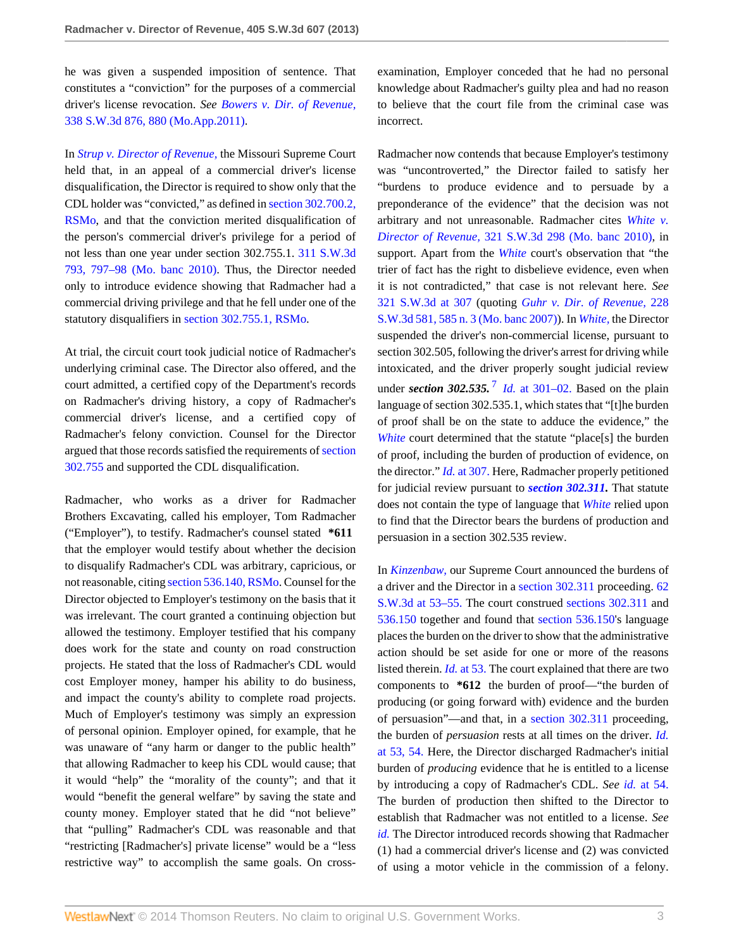he was given a suspended imposition of sentence. That constitutes a "conviction" for the purposes of a commercial driver's license revocation. *See [Bowers v. Dir. of Revenue,](http://www.westlaw.com/Link/Document/FullText?findType=Y&serNum=2025086324&pubNum=4644&fi=co_pp_sp_4644_880&originationContext=document&vr=3.0&rs=cblt1.0&transitionType=DocumentItem&contextData=(sc.Search)#co_pp_sp_4644_880)* [338 S.W.3d 876, 880 \(Mo.App.2011\)](http://www.westlaw.com/Link/Document/FullText?findType=Y&serNum=2025086324&pubNum=4644&fi=co_pp_sp_4644_880&originationContext=document&vr=3.0&rs=cblt1.0&transitionType=DocumentItem&contextData=(sc.Search)#co_pp_sp_4644_880).

In *[Strup v. Director of Revenue,](http://www.westlaw.com/Link/Document/FullText?findType=Y&serNum=2021840625&originationContext=document&vr=3.0&rs=cblt1.0&transitionType=DocumentItem&contextData=(sc.Search))* the Missouri Supreme Court held that, in an appeal of a commercial driver's license disqualification, the Director is required to show only that the CDL holder was "convicted," as defined in [section 302.700.2,](http://www.westlaw.com/Link/Document/FullText?findType=L&pubNum=1000229&cite=MOST302.700&originatingDoc=I9b60fe2afeef11e2a160cacff148223f&refType=LQ&originationContext=document&vr=3.0&rs=cblt1.0&transitionType=DocumentItem&contextData=(sc.Search)) [RSMo](http://www.westlaw.com/Link/Document/FullText?findType=L&pubNum=1000229&cite=MOST302.700&originatingDoc=I9b60fe2afeef11e2a160cacff148223f&refType=LQ&originationContext=document&vr=3.0&rs=cblt1.0&transitionType=DocumentItem&contextData=(sc.Search)), and that the conviction merited disqualification of the person's commercial driver's privilege for a period of not less than one year under section 302.755.1. [311 S.W.3d](http://www.westlaw.com/Link/Document/FullText?findType=Y&serNum=2021840625&pubNum=4644&fi=co_pp_sp_4644_797&originationContext=document&vr=3.0&rs=cblt1.0&transitionType=DocumentItem&contextData=(sc.Search)#co_pp_sp_4644_797) [793, 797–98 \(Mo. banc 2010\).](http://www.westlaw.com/Link/Document/FullText?findType=Y&serNum=2021840625&pubNum=4644&fi=co_pp_sp_4644_797&originationContext=document&vr=3.0&rs=cblt1.0&transitionType=DocumentItem&contextData=(sc.Search)#co_pp_sp_4644_797) Thus, the Director needed only to introduce evidence showing that Radmacher had a commercial driving privilege and that he fell under one of the statutory disqualifiers in [section 302.755.1, RSMo.](http://www.westlaw.com/Link/Document/FullText?findType=L&pubNum=1000229&cite=MOST302.755&originatingDoc=I9b60fe2afeef11e2a160cacff148223f&refType=LQ&originationContext=document&vr=3.0&rs=cblt1.0&transitionType=DocumentItem&contextData=(sc.Search))

At trial, the circuit court took judicial notice of Radmacher's underlying criminal case. The Director also offered, and the court admitted, a certified copy of the Department's records on Radmacher's driving history, a copy of Radmacher's commercial driver's license, and a certified copy of Radmacher's felony conviction. Counsel for the Director argued that those records satisfied the requirements of [section](http://www.westlaw.com/Link/Document/FullText?findType=L&pubNum=1000229&cite=MOST302.755&originatingDoc=I9b60fe2afeef11e2a160cacff148223f&refType=LQ&originationContext=document&vr=3.0&rs=cblt1.0&transitionType=DocumentItem&contextData=(sc.Search)) [302.755](http://www.westlaw.com/Link/Document/FullText?findType=L&pubNum=1000229&cite=MOST302.755&originatingDoc=I9b60fe2afeef11e2a160cacff148223f&refType=LQ&originationContext=document&vr=3.0&rs=cblt1.0&transitionType=DocumentItem&contextData=(sc.Search)) and supported the CDL disqualification.

Radmacher, who works as a driver for Radmacher Brothers Excavating, called his employer, Tom Radmacher ("Employer"), to testify. Radmacher's counsel stated **\*611** that the employer would testify about whether the decision to disqualify Radmacher's CDL was arbitrary, capricious, or not reasonable, citing [section 536.140, RSMo.](http://www.westlaw.com/Link/Document/FullText?findType=L&pubNum=1000229&cite=MOST536.140&originatingDoc=I9b60fe2afeef11e2a160cacff148223f&refType=LQ&originationContext=document&vr=3.0&rs=cblt1.0&transitionType=DocumentItem&contextData=(sc.Search)) Counsel for the Director objected to Employer's testimony on the basis that it was irrelevant. The court granted a continuing objection but allowed the testimony. Employer testified that his company does work for the state and county on road construction projects. He stated that the loss of Radmacher's CDL would cost Employer money, hamper his ability to do business, and impact the county's ability to complete road projects. Much of Employer's testimony was simply an expression of personal opinion. Employer opined, for example, that he was unaware of "any harm or danger to the public health" that allowing Radmacher to keep his CDL would cause; that it would "help" the "morality of the county"; and that it would "benefit the general welfare" by saving the state and county money. Employer stated that he did "not believe" that "pulling" Radmacher's CDL was reasonable and that "restricting [Radmacher's] private license" would be a "less restrictive way" to accomplish the same goals. On crossexamination, Employer conceded that he had no personal knowledge about Radmacher's guilty plea and had no reason to believe that the court file from the criminal case was incorrect.

Radmacher now contends that because Employer's testimony was "uncontroverted," the Director failed to satisfy her "burdens to produce evidence and to persuade by a preponderance of the evidence" that the decision was not arbitrary and not unreasonable. Radmacher cites *[White v.](http://www.westlaw.com/Link/Document/FullText?findType=Y&serNum=2022811102&pubNum=4644&originationContext=document&vr=3.0&rs=cblt1.0&transitionType=DocumentItem&contextData=(sc.Search)) Director of Revenue,* [321 S.W.3d 298 \(Mo. banc 2010\)](http://www.westlaw.com/Link/Document/FullText?findType=Y&serNum=2022811102&pubNum=4644&originationContext=document&vr=3.0&rs=cblt1.0&transitionType=DocumentItem&contextData=(sc.Search)), in support. Apart from the *[White](http://www.westlaw.com/Link/Document/FullText?findType=Y&serNum=2022811102&originationContext=document&vr=3.0&rs=cblt1.0&transitionType=DocumentItem&contextData=(sc.Search))* court's observation that "the trier of fact has the right to disbelieve evidence, even when it is not contradicted," that case is not relevant here. *See* [321 S.W.3d at 307](http://www.westlaw.com/Link/Document/FullText?findType=Y&serNum=2022811102&pubNum=4644&fi=co_pp_sp_4644_307&originationContext=document&vr=3.0&rs=cblt1.0&transitionType=DocumentItem&contextData=(sc.Search)#co_pp_sp_4644_307) (quoting *[Guhr v. Dir. of Revenue,](http://www.westlaw.com/Link/Document/FullText?findType=Y&serNum=2012546101&pubNum=4644&fi=co_pp_sp_4644_585&originationContext=document&vr=3.0&rs=cblt1.0&transitionType=DocumentItem&contextData=(sc.Search)#co_pp_sp_4644_585)* 228 [S.W.3d 581, 585 n. 3 \(Mo. banc 2007\)](http://www.westlaw.com/Link/Document/FullText?findType=Y&serNum=2012546101&pubNum=4644&fi=co_pp_sp_4644_585&originationContext=document&vr=3.0&rs=cblt1.0&transitionType=DocumentItem&contextData=(sc.Search)#co_pp_sp_4644_585)). In *[White,](http://www.westlaw.com/Link/Document/FullText?findType=Y&serNum=2022811102&originationContext=document&vr=3.0&rs=cblt1.0&transitionType=DocumentItem&contextData=(sc.Search))* the Director suspended the driver's non-commercial license, pursuant to section 302.505, following the driver's arrest for driving while intoxicated, and the driver properly sought judicial review under *section 302.535.*<sup>[7](#page-3-6)</sup> *Id.* [at 301–02.](http://www.westlaw.com/Link/Document/FullText?findType=Y&serNum=2022811102&originationContext=document&vr=3.0&rs=cblt1.0&transitionType=DocumentItem&contextData=(sc.Search)) Based on the plain language of section 302.535.1, which states that "[t]he burden of proof shall be on the state to adduce the evidence," the *[White](http://www.westlaw.com/Link/Document/FullText?findType=Y&serNum=2022811102&originationContext=document&vr=3.0&rs=cblt1.0&transitionType=DocumentItem&contextData=(sc.Search))* court determined that the statute "place[s] the burden of proof, including the burden of production of evidence, on the director." *Id.* [at 307.](http://www.westlaw.com/Link/Document/FullText?findType=Y&serNum=2022811102&originationContext=document&vr=3.0&rs=cblt1.0&transitionType=DocumentItem&contextData=(sc.Search)) Here, Radmacher properly petitioned for judicial review pursuant to *[section 302.311](http://www.westlaw.com/Link/Document/FullText?findType=L&pubNum=1000229&cite=MOST302.311&originatingDoc=I9b60fe2afeef11e2a160cacff148223f&refType=LQ&originationContext=document&vr=3.0&rs=cblt1.0&transitionType=DocumentItem&contextData=(sc.Search)).* That statute does not contain the type of language that *[White](http://www.westlaw.com/Link/Document/FullText?findType=Y&serNum=2022811102&originationContext=document&vr=3.0&rs=cblt1.0&transitionType=DocumentItem&contextData=(sc.Search))* relied upon to find that the Director bears the burdens of production and persuasion in a section 302.535 review.

<span id="page-2-0"></span>In *[Kinzenbaw,](http://www.westlaw.com/Link/Document/FullText?findType=Y&serNum=2001558339&originationContext=document&vr=3.0&rs=cblt1.0&transitionType=DocumentItem&contextData=(sc.Search))* our Supreme Court announced the burdens of a driver and the Director in a [section 302.311](http://www.westlaw.com/Link/Document/FullText?findType=L&pubNum=1000229&cite=MOST302.311&originatingDoc=I9b60fe2afeef11e2a160cacff148223f&refType=LQ&originationContext=document&vr=3.0&rs=cblt1.0&transitionType=DocumentItem&contextData=(sc.Search)) proceeding. [62](http://www.westlaw.com/Link/Document/FullText?findType=Y&serNum=2001558339&pubNum=4644&fi=co_pp_sp_4644_53&originationContext=document&vr=3.0&rs=cblt1.0&transitionType=DocumentItem&contextData=(sc.Search)#co_pp_sp_4644_53) [S.W.3d at 53–55.](http://www.westlaw.com/Link/Document/FullText?findType=Y&serNum=2001558339&pubNum=4644&fi=co_pp_sp_4644_53&originationContext=document&vr=3.0&rs=cblt1.0&transitionType=DocumentItem&contextData=(sc.Search)#co_pp_sp_4644_53) The court construed [sections 302.311](http://www.westlaw.com/Link/Document/FullText?findType=L&pubNum=1000229&cite=MOST302.311&originatingDoc=I9b60fe2afeef11e2a160cacff148223f&refType=LQ&originationContext=document&vr=3.0&rs=cblt1.0&transitionType=DocumentItem&contextData=(sc.Search)) and [536.150](http://www.westlaw.com/Link/Document/FullText?findType=L&pubNum=1000229&cite=MOST536.150&originatingDoc=I9b60fe2afeef11e2a160cacff148223f&refType=LQ&originationContext=document&vr=3.0&rs=cblt1.0&transitionType=DocumentItem&contextData=(sc.Search)) together and found that [section 536.150](http://www.westlaw.com/Link/Document/FullText?findType=L&pubNum=1000229&cite=MOST536.150&originatingDoc=I9b60fe2afeef11e2a160cacff148223f&refType=LQ&originationContext=document&vr=3.0&rs=cblt1.0&transitionType=DocumentItem&contextData=(sc.Search))'s language places the burden on the driver to show that the administrative action should be set aside for one or more of the reasons listed therein. *Id.* [at 53.](http://www.westlaw.com/Link/Document/FullText?findType=Y&serNum=2001558339&originationContext=document&vr=3.0&rs=cblt1.0&transitionType=DocumentItem&contextData=(sc.Search)) The court explained that there are two components to **\*612** the burden of proof—"the burden of producing (or going forward with) evidence and the burden of persuasion"—and that, in a [section 302.311](http://www.westlaw.com/Link/Document/FullText?findType=L&pubNum=1000229&cite=MOST302.311&originatingDoc=I9b60fe2afeef11e2a160cacff148223f&refType=LQ&originationContext=document&vr=3.0&rs=cblt1.0&transitionType=DocumentItem&contextData=(sc.Search)) proceeding, the burden of *persuasion* rests at all times on the driver. *[Id.](http://www.westlaw.com/Link/Document/FullText?findType=Y&serNum=2001558339&originationContext=document&vr=3.0&rs=cblt1.0&transitionType=DocumentItem&contextData=(sc.Search))* [at 53, 54.](http://www.westlaw.com/Link/Document/FullText?findType=Y&serNum=2001558339&originationContext=document&vr=3.0&rs=cblt1.0&transitionType=DocumentItem&contextData=(sc.Search)) Here, the Director discharged Radmacher's initial burden of *producing* evidence that he is entitled to a license by introducing a copy of Radmacher's CDL. *See id.* [at 54.](http://www.westlaw.com/Link/Document/FullText?findType=Y&serNum=2001558339&originationContext=document&vr=3.0&rs=cblt1.0&transitionType=DocumentItem&contextData=(sc.Search)) The burden of production then shifted to the Director to establish that Radmacher was not entitled to a license. *See [id.](http://www.westlaw.com/Link/Document/FullText?findType=Y&serNum=2001558339&originationContext=document&vr=3.0&rs=cblt1.0&transitionType=DocumentItem&contextData=(sc.Search))* The Director introduced records showing that Radmacher (1) had a commercial driver's license and (2) was convicted of using a motor vehicle in the commission of a felony.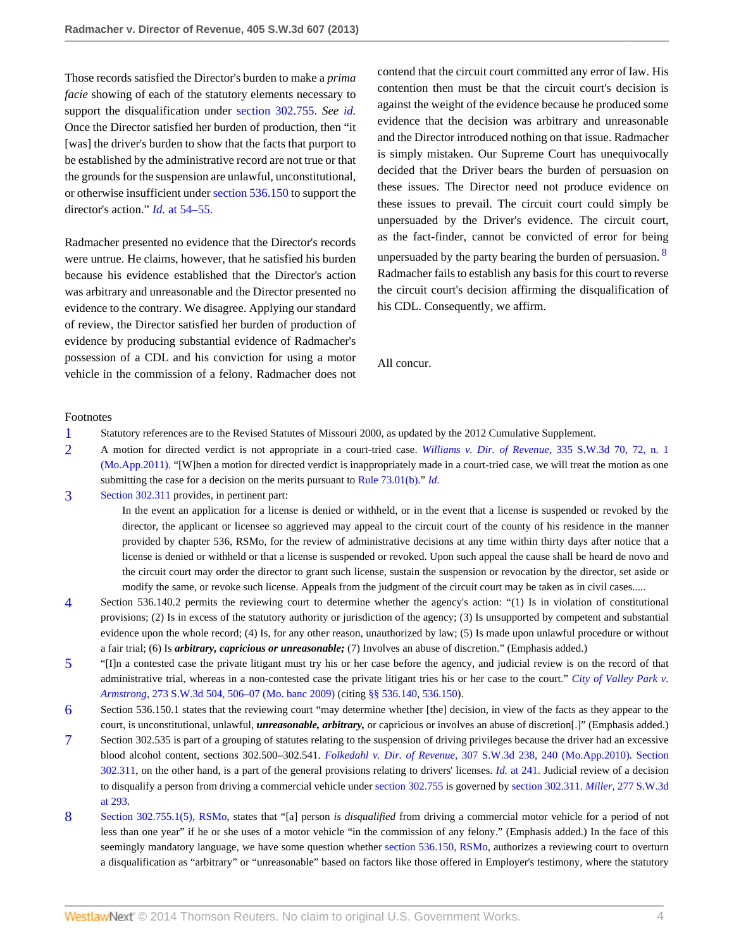Those records satisfied the Director's burden to make a *prima facie* showing of each of the statutory elements necessary to support the disqualification under [section 302.755](http://www.westlaw.com/Link/Document/FullText?findType=L&pubNum=1000229&cite=MOST302.755&originatingDoc=I9b60fe2afeef11e2a160cacff148223f&refType=LQ&originationContext=document&vr=3.0&rs=cblt1.0&transitionType=DocumentItem&contextData=(sc.Search)). *See [id.](http://www.westlaw.com/Link/Document/FullText?findType=Y&serNum=2001558339&originationContext=document&vr=3.0&rs=cblt1.0&transitionType=DocumentItem&contextData=(sc.Search))* Once the Director satisfied her burden of production, then "it [was] the driver's burden to show that the facts that purport to be established by the administrative record are not true or that the grounds for the suspension are unlawful, unconstitutional, or otherwise insufficient under [section 536.150](http://www.westlaw.com/Link/Document/FullText?findType=L&pubNum=1000229&cite=MOST536.150&originatingDoc=I9b60fe2afeef11e2a160cacff148223f&refType=LQ&originationContext=document&vr=3.0&rs=cblt1.0&transitionType=DocumentItem&contextData=(sc.Search)) to support the director's action." *Id.* [at 54–55.](http://www.westlaw.com/Link/Document/FullText?findType=Y&serNum=2001558339&originationContext=document&vr=3.0&rs=cblt1.0&transitionType=DocumentItem&contextData=(sc.Search))

Radmacher presented no evidence that the Director's records were untrue. He claims, however, that he satisfied his burden because his evidence established that the Director's action was arbitrary and unreasonable and the Director presented no evidence to the contrary. We disagree. Applying our standard of review, the Director satisfied her burden of production of evidence by producing substantial evidence of Radmacher's possession of a CDL and his conviction for using a motor vehicle in the commission of a felony. Radmacher does not contend that the circuit court committed any error of law. His contention then must be that the circuit court's decision is against the weight of the evidence because he produced some evidence that the decision was arbitrary and unreasonable and the Director introduced nothing on that issue. Radmacher is simply mistaken. Our Supreme Court has unequivocally decided that the Driver bears the burden of persuasion on these issues. The Director need not produce evidence on these issues to prevail. The circuit court could simply be unpersuaded by the Driver's evidence. The circuit court, as the fact-finder, cannot be convicted of error for being unpersuaded by the party bearing the burden of persuasion.  $8$ Radmacher fails to establish any basis for this court to reverse the circuit court's decision affirming the disqualification of his CDL. Consequently, we affirm.

<span id="page-3-8"></span>All concur.

#### Footnotes

- <span id="page-3-0"></span>[1](#page-1-4) Statutory references are to the Revised Statutes of Missouri 2000, as updated by the 2012 Cumulative Supplement.
- <span id="page-3-1"></span>[2](#page-1-5) A motion for directed verdict is not appropriate in a court-tried case. *[Williams v. Dir. of Revenue,](http://www.westlaw.com/Link/Document/FullText?findType=Y&serNum=2024736812&pubNum=4644&fi=co_pp_sp_4644_72&originationContext=document&vr=3.0&rs=cblt1.0&transitionType=DocumentItem&contextData=(sc.Search)#co_pp_sp_4644_72)* 335 S.W.3d 70, 72, n. 1 [\(Mo.App.2011\)](http://www.westlaw.com/Link/Document/FullText?findType=Y&serNum=2024736812&pubNum=4644&fi=co_pp_sp_4644_72&originationContext=document&vr=3.0&rs=cblt1.0&transitionType=DocumentItem&contextData=(sc.Search)#co_pp_sp_4644_72). "[W]hen a motion for directed verdict is inappropriately made in a court-tried case, we will treat the motion as one submitting the case for a decision on the merits pursuant to [Rule 73.01\(b\).](http://www.westlaw.com/Link/Document/FullText?findType=L&pubNum=1005849&cite=MORRCPR73.01&originatingDoc=I9b60fe2afeef11e2a160cacff148223f&refType=LQ&originationContext=document&vr=3.0&rs=cblt1.0&transitionType=DocumentItem&contextData=(sc.Search))" *[Id.](http://www.westlaw.com/Link/Document/FullText?findType=Y&serNum=2024736812&originationContext=document&vr=3.0&rs=cblt1.0&transitionType=DocumentItem&contextData=(sc.Search))*
- <span id="page-3-2"></span>[3](#page-1-6) [Section 302.311](http://www.westlaw.com/Link/Document/FullText?findType=L&pubNum=1000229&cite=MOST302.311&originatingDoc=I9b60fe2afeef11e2a160cacff148223f&refType=LQ&originationContext=document&vr=3.0&rs=cblt1.0&transitionType=DocumentItem&contextData=(sc.Search)) provides, in pertinent part:

In the event an application for a license is denied or withheld, or in the event that a license is suspended or revoked by the director, the applicant or licensee so aggrieved may appeal to the circuit court of the county of his residence in the manner provided by chapter 536, RSMo, for the review of administrative decisions at any time within thirty days after notice that a license is denied or withheld or that a license is suspended or revoked. Upon such appeal the cause shall be heard de novo and the circuit court may order the director to grant such license, sustain the suspension or revocation by the director, set aside or modify the same, or revoke such license. Appeals from the judgment of the circuit court may be taken as in civil cases.....

- <span id="page-3-3"></span>[4](#page-1-7) Section 536.140.2 permits the reviewing court to determine whether the agency's action: "(1) Is in violation of constitutional provisions; (2) Is in excess of the statutory authority or jurisdiction of the agency; (3) Is unsupported by competent and substantial evidence upon the whole record; (4) Is, for any other reason, unauthorized by law; (5) Is made upon unlawful procedure or without a fair trial; (6) Is *arbitrary, capricious or unreasonable;* (7) Involves an abuse of discretion." (Emphasis added.)
- <span id="page-3-4"></span>[5](#page-1-8) "[I]n a contested case the private litigant must try his or her case before the agency, and judicial review is on the record of that administrative trial, whereas in a non-contested case the private litigant tries his or her case to the court." *[City of Valley Park v.](http://www.westlaw.com/Link/Document/FullText?findType=Y&serNum=2017879403&pubNum=4644&fi=co_pp_sp_4644_506&originationContext=document&vr=3.0&rs=cblt1.0&transitionType=DocumentItem&contextData=(sc.Search)#co_pp_sp_4644_506) Armstrong,* [273 S.W.3d 504, 506–07 \(Mo. banc 2009\)](http://www.westlaw.com/Link/Document/FullText?findType=Y&serNum=2017879403&pubNum=4644&fi=co_pp_sp_4644_506&originationContext=document&vr=3.0&rs=cblt1.0&transitionType=DocumentItem&contextData=(sc.Search)#co_pp_sp_4644_506) (citing [§§ 536.140,](http://www.westlaw.com/Link/Document/FullText?findType=L&pubNum=1000229&cite=MOST536.140&originatingDoc=I9b60fe2afeef11e2a160cacff148223f&refType=LQ&originationContext=document&vr=3.0&rs=cblt1.0&transitionType=DocumentItem&contextData=(sc.Search)) [536.150\)](http://www.westlaw.com/Link/Document/FullText?findType=L&pubNum=1000229&cite=MOST536.150&originatingDoc=I9b60fe2afeef11e2a160cacff148223f&refType=LQ&originationContext=document&vr=3.0&rs=cblt1.0&transitionType=DocumentItem&contextData=(sc.Search)).
- <span id="page-3-5"></span>[6](#page-1-9) Section 536.150.1 states that the reviewing court "may determine whether [the] decision, in view of the facts as they appear to the court, is unconstitutional, unlawful, *unreasonable, arbitrary,* or capricious or involves an abuse of discretion[.]" (Emphasis added.)
- <span id="page-3-6"></span>[7](#page-2-0) Section 302.535 is part of a grouping of statutes relating to the suspension of driving privileges because the driver had an excessive blood alcohol content, sections 302.500–302.541. *Folkedahl v. Dir. of Revenue,* [307 S.W.3d 238, 240 \(Mo.App.2010\)](http://www.westlaw.com/Link/Document/FullText?findType=Y&serNum=2021735136&pubNum=4644&fi=co_pp_sp_4644_240&originationContext=document&vr=3.0&rs=cblt1.0&transitionType=DocumentItem&contextData=(sc.Search)#co_pp_sp_4644_240). [Section](http://www.westlaw.com/Link/Document/FullText?findType=L&pubNum=1000229&cite=MOST302.311&originatingDoc=I9b60fe2afeef11e2a160cacff148223f&refType=LQ&originationContext=document&vr=3.0&rs=cblt1.0&transitionType=DocumentItem&contextData=(sc.Search)) [302.311](http://www.westlaw.com/Link/Document/FullText?findType=L&pubNum=1000229&cite=MOST302.311&originatingDoc=I9b60fe2afeef11e2a160cacff148223f&refType=LQ&originationContext=document&vr=3.0&rs=cblt1.0&transitionType=DocumentItem&contextData=(sc.Search)), on the other hand, is a part of the general provisions relating to drivers' licenses. *Id.* [at 241.](http://www.westlaw.com/Link/Document/FullText?findType=Y&serNum=2021735136&originationContext=document&vr=3.0&rs=cblt1.0&transitionType=DocumentItem&contextData=(sc.Search)) Judicial review of a decision to disqualify a person from driving a commercial vehicle under [section 302.755](http://www.westlaw.com/Link/Document/FullText?findType=L&pubNum=1000229&cite=MOST302.755&originatingDoc=I9b60fe2afeef11e2a160cacff148223f&refType=LQ&originationContext=document&vr=3.0&rs=cblt1.0&transitionType=DocumentItem&contextData=(sc.Search)) is governed by [section 302.311](http://www.westlaw.com/Link/Document/FullText?findType=L&pubNum=1000229&cite=MOST302.311&originatingDoc=I9b60fe2afeef11e2a160cacff148223f&refType=LQ&originationContext=document&vr=3.0&rs=cblt1.0&transitionType=DocumentItem&contextData=(sc.Search)). *Miller,* [277 S.W.3d](http://www.westlaw.com/Link/Document/FullText?findType=Y&serNum=2017906270&pubNum=4644&fi=co_pp_sp_4644_293&originationContext=document&vr=3.0&rs=cblt1.0&transitionType=DocumentItem&contextData=(sc.Search)#co_pp_sp_4644_293) [at 293](http://www.westlaw.com/Link/Document/FullText?findType=Y&serNum=2017906270&pubNum=4644&fi=co_pp_sp_4644_293&originationContext=document&vr=3.0&rs=cblt1.0&transitionType=DocumentItem&contextData=(sc.Search)#co_pp_sp_4644_293).
- <span id="page-3-7"></span>[8](#page-3-8) [Section 302.755.1\(5\), RSMo](http://www.westlaw.com/Link/Document/FullText?findType=L&pubNum=1000229&cite=MOST302.755&originatingDoc=I9b60fe2afeef11e2a160cacff148223f&refType=LQ&originationContext=document&vr=3.0&rs=cblt1.0&transitionType=DocumentItem&contextData=(sc.Search)), states that "[a] person *is disqualified* from driving a commercial motor vehicle for a period of not less than one year" if he or she uses of a motor vehicle "in the commission of any felony." (Emphasis added.) In the face of this seemingly mandatory language, we have some question whether [section 536.150, RSMo](http://www.westlaw.com/Link/Document/FullText?findType=L&pubNum=1000229&cite=MOST536.150&originatingDoc=I9b60fe2afeef11e2a160cacff148223f&refType=LQ&originationContext=document&vr=3.0&rs=cblt1.0&transitionType=DocumentItem&contextData=(sc.Search)), authorizes a reviewing court to overturn a disqualification as "arbitrary" or "unreasonable" based on factors like those offered in Employer's testimony, where the statutory